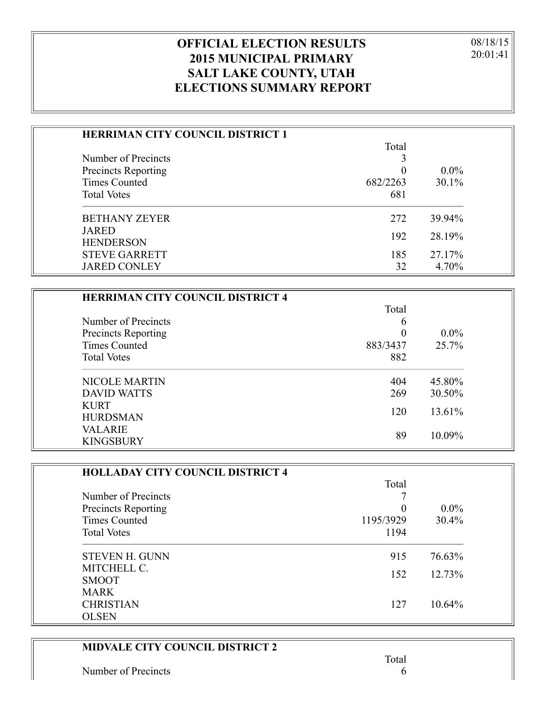08/18/15 20:01:41

## **OFFICIAL ELECTION RESULTS 2015 MUNICIPAL PRIMARY SALT LAKE COUNTY, UTAH ELECTIONS SUMMARY REPORT**

| <b>HERRIMAN CITY COUNCIL DISTRICT 1</b> |          |          |
|-----------------------------------------|----------|----------|
|                                         | Total    |          |
| Number of Precincts                     |          |          |
| <b>Precincts Reporting</b>              | $\theta$ | $0.0\%$  |
| <b>Times Counted</b>                    | 682/2263 | $30.1\%$ |
| <b>Total Votes</b>                      | 681      |          |
| <b>BETHANY ZEYER</b>                    | 272      | 39.94%   |
| <b>JARED</b>                            | 192      | 28.19%   |
| <b>HENDERSON</b>                        |          |          |
| <b>STEVE GARRETT</b>                    | 185      | 27.17%   |
| <b>JARED CONLEY</b>                     | 32       | 4.70%    |

| <b>HERRIMAN CITY COUNCIL DISTRICT 4</b> |          |         |
|-----------------------------------------|----------|---------|
|                                         | Total    |         |
| Number of Precincts                     | 6        |         |
| <b>Precincts Reporting</b>              |          | $0.0\%$ |
| <b>Times Counted</b>                    | 883/3437 | 25.7%   |
| <b>Total Votes</b>                      | 882      |         |
| <b>NICOLE MARTIN</b>                    | 404      | 45.80%  |
| <b>DAVID WATTS</b>                      | 269      | 30.50%  |
| <b>KURT</b><br><b>HURDSMAN</b>          | 120      | 13.61%  |
| <b>VALARIE</b><br><b>KINGSBURY</b>      | 89       | 10.09%  |

| <b>HOLLADAY CITY COUNCIL DISTRICT 4</b> |           |           |
|-----------------------------------------|-----------|-----------|
|                                         | Total     |           |
| Number of Precincts                     |           |           |
| <b>Precincts Reporting</b>              | $\theta$  | $0.0\%$   |
| Times Counted                           | 1195/3929 | $30.4\%$  |
| <b>Total Votes</b>                      | 1194      |           |
| <b>STEVEN H. GUNN</b>                   | 915       | 76.63%    |
| MITCHELL C.                             |           | 12.73%    |
| <b>SMOOT</b>                            | 152       |           |
| <b>MARK</b>                             |           |           |
| <b>CHRISTIAN</b>                        | 127       | $10.64\%$ |
| <b>OLSEN</b>                            |           |           |

## **MIDVALE CITY COUNCIL DISTRICT 2**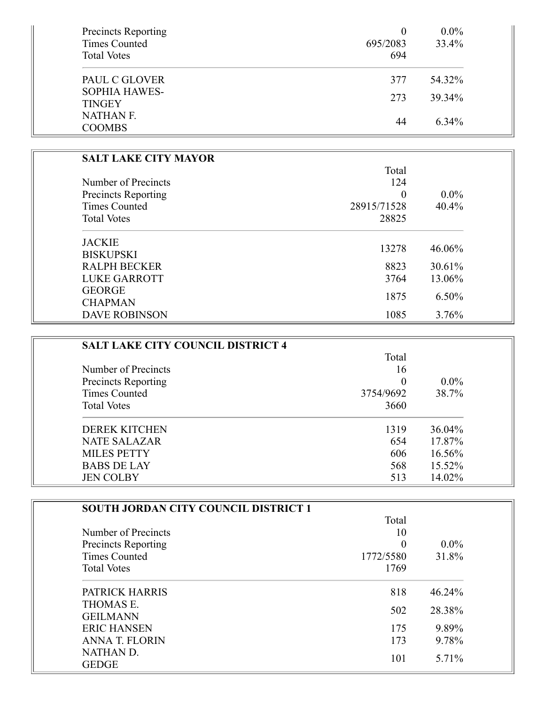| Precincts Reporting<br><b>Times Counted</b><br><b>Total Votes</b> | 0<br>695/2083<br>694 | $0.0\%$<br>33.4% |
|-------------------------------------------------------------------|----------------------|------------------|
| PAUL C GLOVER                                                     | 377                  | 54.32%           |
| <b>SOPHIA HAWES-</b><br><b>TINGEY</b>                             | 273                  | 39.34%           |
| <b>NATHAN F.</b><br><b>COOMBS</b>                                 | 44                   | 6.34%            |

| <b>SALT LAKE CITY MAYOR</b> |             |         |
|-----------------------------|-------------|---------|
|                             | Total       |         |
| Number of Precincts         | 124         |         |
| <b>Precincts Reporting</b>  | $\theta$    | $0.0\%$ |
| <b>Times Counted</b>        | 28915/71528 | 40.4%   |
| <b>Total Votes</b>          | 28825       |         |
| <b>JACKIE</b>               |             |         |
| <b>BISKUPSKI</b>            | 13278       | 46.06%  |
| <b>RALPH BECKER</b>         | 8823        | 30.61%  |
| <b>LUKE GARROTT</b>         | 3764        | 13.06%  |
| <b>GEORGE</b>               | 1875        | 6.50%   |
| <b>CHAPMAN</b>              |             |         |
| <b>DAVE ROBINSON</b>        | 1085        | 3.76%   |

| <b>SALT LAKE CITY COUNCIL DISTRICT 4</b> |           |         |
|------------------------------------------|-----------|---------|
|                                          | Total     |         |
| Number of Precincts                      | 16        |         |
| Precincts Reporting                      | $\theta$  | $0.0\%$ |
| Times Counted                            | 3754/9692 | 38.7%   |
| <b>Total Votes</b>                       | 3660      |         |
| <b>DEREK KITCHEN</b>                     | 1319      | 36.04%  |
| NATE SALAZAR                             | 654       | 17.87%  |
| <b>MILES PETTY</b>                       | 606       | 16.56%  |
| <b>BABS DE LAY</b>                       | 568       | 15.52%  |
| <b>JEN COLBY</b>                         | 513       | 14.02%  |

| <b>SOUTH JORDAN CITY COUNCIL DISTRICT 1</b> |           |         |
|---------------------------------------------|-----------|---------|
|                                             | Total     |         |
| Number of Precincts                         | 10        |         |
| <b>Precincts Reporting</b>                  | $\theta$  | $0.0\%$ |
| Times Counted                               | 1772/5580 | 31.8%   |
| <b>Total Votes</b>                          | 1769      |         |
| PATRICK HARRIS                              | 818       | 46.24%  |
| THOMAS E.                                   |           |         |
| <b>GEILMANN</b>                             | 502       | 28.38%  |
| <b>ERIC HANSEN</b>                          | 175       | 9.89%   |
| <b>ANNA T. FLORIN</b>                       | 173       | 9.78%   |
| NATHAN D.                                   |           | 5.71%   |
| <b>GEDGE</b>                                | 101       |         |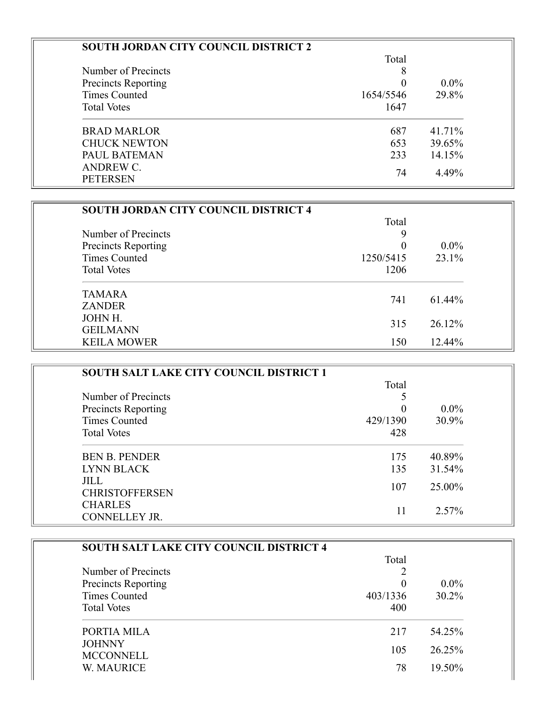| <b>SOUTH JORDAN CITY COUNCIL DISTRICT 2</b> |           |         |
|---------------------------------------------|-----------|---------|
|                                             | Total     |         |
| Number of Precincts                         | 8         |         |
| <b>Precincts Reporting</b>                  | 0         | $0.0\%$ |
| <b>Times Counted</b>                        | 1654/5546 | 29.8%   |
| <b>Total Votes</b>                          | 1647      |         |
| <b>BRAD MARLOR</b>                          | 687       | 41.71%  |
| <b>CHUCK NEWTON</b>                         | 653       | 39.65%  |
| PAUL BATEMAN                                | 233       | 14.15%  |
| ANDREW C.<br><b>PETERSEN</b>                | 74        | 4.49%   |

| <b>SOUTH JORDAN CITY COUNCIL DISTRICT 4</b> |           |          |
|---------------------------------------------|-----------|----------|
|                                             | Total     |          |
| Number of Precincts                         | 9         |          |
| Precincts Reporting                         | $\theta$  | $0.0\%$  |
| <b>Times Counted</b>                        | 1250/5415 | $23.1\%$ |
| <b>Total Votes</b>                          | 1206      |          |
| <b>TAMARA</b>                               |           |          |
| <b>ZANDER</b>                               | 741       | 61.44%   |
| JOHN H.                                     |           | 26.12%   |
| <b>GEILMANN</b>                             | 315       |          |
| <b>KEILA MOWER</b>                          | 150       | 12.44%   |

| <b>SOUTH SALT LAKE CITY COUNCIL DISTRICT 1</b> |          |         |
|------------------------------------------------|----------|---------|
|                                                | Total    |         |
| Number of Precincts                            |          |         |
| Precincts Reporting                            | $\Omega$ | $0.0\%$ |
| <b>Times Counted</b>                           | 429/1390 | 30.9%   |
| <b>Total Votes</b>                             | 428      |         |
| <b>BEN B. PENDER</b>                           | 175      | 40.89%  |
| <b>LYNN BLACK</b>                              | 135      | 31.54%  |
| <b>JILL</b><br><b>CHRISTOFFERSEN</b>           | 107      | 25.00%  |
| <b>CHARLES</b><br>CONNELLEY JR.                | 11       | 2.57%   |

| <b>SOUTH SALT LAKE CITY COUNCIL DISTRICT 4</b> |          |          |  |
|------------------------------------------------|----------|----------|--|
|                                                | Total    |          |  |
| Number of Precincts                            |          |          |  |
| <b>Precincts Reporting</b>                     |          | $0.0\%$  |  |
| <b>Times Counted</b>                           | 403/1336 | $30.2\%$ |  |
| <b>Total Votes</b>                             | 400      |          |  |
| PORTIA MILA                                    | 217      | 54.25%   |  |
| <b>JOHNNY</b>                                  |          |          |  |
| <b>MCCONNELL</b>                               | 105      | 26.25%   |  |
| W. MAURICE                                     | 78       | 19.50%   |  |